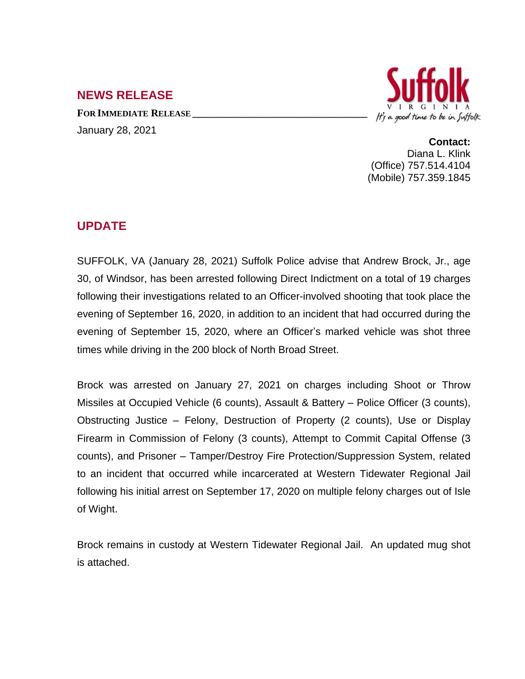## **NEWS RELEASE**

**FOR IMMEDIATE RELEASE \_\_\_\_\_\_\_\_\_\_\_\_\_\_\_\_\_\_\_\_\_\_\_\_\_\_\_\_\_\_\_\_\_\_** January 28, 2021



**Contact:** Diana L. Klink (Office) 757.514.4104 (Mobile) 757.359.1845

## **UPDATE**

SUFFOLK, VA (January 28, 2021) Suffolk Police advise that Andrew Brock, Jr., age 30, of Windsor, has been arrested following Direct Indictment on a total of 19 charges following their investigations related to an Officer-involved shooting that took place the evening of September 16, 2020, in addition to an incident that had occurred during the evening of September 15, 2020, where an Officer's marked vehicle was shot three times while driving in the 200 block of North Broad Street.

Brock was arrested on January 27, 2021 on charges including Shoot or Throw Missiles at Occupied Vehicle (6 counts), Assault & Battery – Police Officer (3 counts), Obstructing Justice – Felony, Destruction of Property (2 counts), Use or Display Firearm in Commission of Felony (3 counts), Attempt to Commit Capital Offense (3 counts), and Prisoner – Tamper/Destroy Fire Protection/Suppression System, related to an incident that occurred while incarcerated at Western Tidewater Regional Jail following his initial arrest on September 17, 2020 on multiple felony charges out of Isle of Wight.

Brock remains in custody at Western Tidewater Regional Jail. An updated mug shot is attached.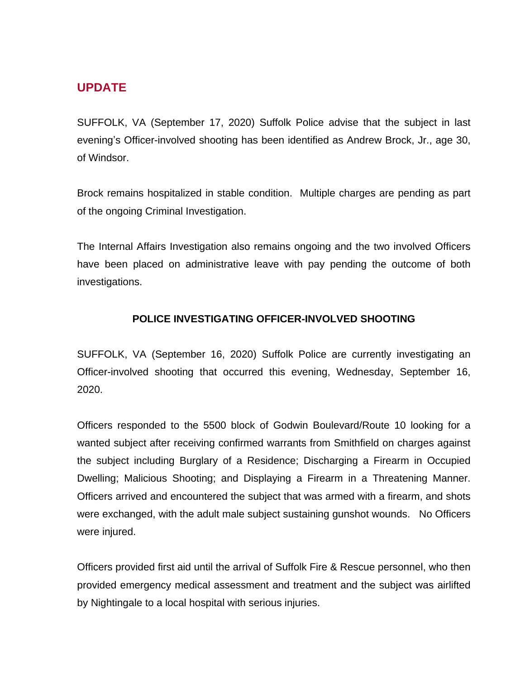## **UPDATE**

SUFFOLK, VA (September 17, 2020) Suffolk Police advise that the subject in last evening's Officer-involved shooting has been identified as Andrew Brock, Jr., age 30, of Windsor.

Brock remains hospitalized in stable condition. Multiple charges are pending as part of the ongoing Criminal Investigation.

The Internal Affairs Investigation also remains ongoing and the two involved Officers have been placed on administrative leave with pay pending the outcome of both investigations.

## **POLICE INVESTIGATING OFFICER-INVOLVED SHOOTING**

SUFFOLK, VA (September 16, 2020) Suffolk Police are currently investigating an Officer-involved shooting that occurred this evening, Wednesday, September 16, 2020.

Officers responded to the 5500 block of Godwin Boulevard/Route 10 looking for a wanted subject after receiving confirmed warrants from Smithfield on charges against the subject including Burglary of a Residence; Discharging a Firearm in Occupied Dwelling; Malicious Shooting; and Displaying a Firearm in a Threatening Manner. Officers arrived and encountered the subject that was armed with a firearm, and shots were exchanged, with the adult male subject sustaining gunshot wounds. No Officers were injured.

Officers provided first aid until the arrival of Suffolk Fire & Rescue personnel, who then provided emergency medical assessment and treatment and the subject was airlifted by Nightingale to a local hospital with serious injuries.